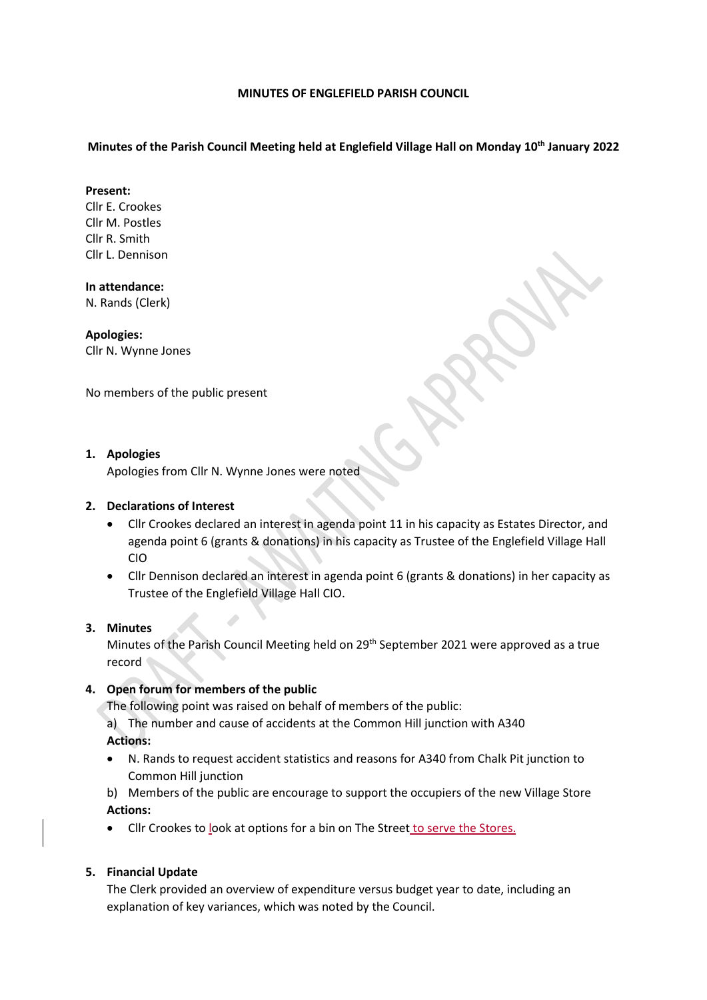#### **MINUTES OF ENGLEFIELD PARISH COUNCIL**

## **Minutes of the Parish Council Meeting held at Englefield Village Hall on Monday 10th January 2022**

#### **Present:**

Cllr E. Crookes Cllr M. Postles Cllr R. Smith Cllr L. Dennison

### **In attendance:**

N. Rands (Clerk)

## **Apologies:**

Cllr N. Wynne Jones

No members of the public present

## **1. Apologies**

Apologies from Cllr N. Wynne Jones were noted

## **2. Declarations of Interest**

- Cllr Crookes declared an interest in agenda point 11 in his capacity as Estates Director, and agenda point 6 (grants & donations) in his capacity as Trustee of the Englefield Village Hall CIO
- Cllr Dennison declared an interest in agenda point 6 (grants & donations) in her capacity as Trustee of the Englefield Village Hall CIO.

## **3. Minutes**

Minutes of the Parish Council Meeting held on 29<sup>th</sup> September 2021 were approved as a true record

# **4. Open forum for members of the public**

The following point was raised on behalf of members of the public:

- a) The number and cause of accidents at the Common Hill junction with A340 **Actions:**
- N. Rands to request accident statistics and reasons for A340 from Chalk Pit junction to Common Hill junction

b) Members of the public are encourage to support the occupiers of the new Village Store **Actions:**

Cllr Crookes to look at options for a bin on The Street to serve the Stores.

## **5. Financial Update**

The Clerk provided an overview of expenditure versus budget year to date, including an explanation of key variances, which was noted by the Council.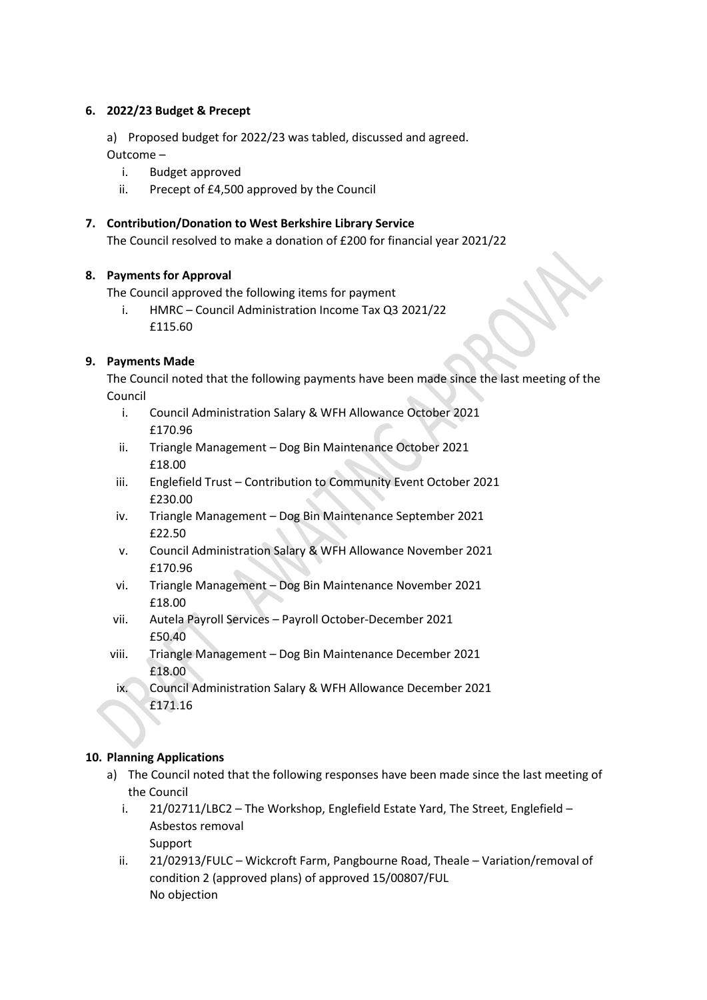## **6. 2022/23 Budget & Precept**

a) Proposed budget for 2022/23 was tabled, discussed and agreed.

Outcome –

- i. Budget approved
- ii. Precept of £4,500 approved by the Council

# **7. Contribution/Donation to West Berkshire Library Service**

The Council resolved to make a donation of £200 for financial year 2021/22

# **8. Payments for Approval**

The Council approved the following items for payment

i. HMRC – Council Administration Income Tax Q3 2021/22 £115.60

# **9. Payments Made**

The Council noted that the following payments have been made since the last meeting of the Council

- i. Council Administration Salary & WFH Allowance October 2021 £170.96
- ii. Triangle Management Dog Bin Maintenance October 2021 £18.00
- iii. Englefield Trust Contribution to Community Event October 2021 £230.00
- iv. Triangle Management Dog Bin Maintenance September 2021 £22.50
- v. Council Administration Salary & WFH Allowance November 2021 £170.96
- vi. Triangle Management Dog Bin Maintenance November 2021 £18.00
- vii. Autela Payroll Services Payroll October-December 2021 £50.40
- viii. Triangle Management Dog Bin Maintenance December 2021 £18.00
	- ix. Council Administration Salary & WFH Allowance December 2021 £171.16

# **10. Planning Applications**

- a) The Council noted that the following responses have been made since the last meeting of the Council
	- i. 21/02711/LBC2 The Workshop, Englefield Estate Yard, The Street, Englefield Asbestos removal Support
	- ii. 21/02913/FULC Wickcroft Farm, Pangbourne Road, Theale Variation/removal of condition 2 (approved plans) of approved 15/00807/FUL No objection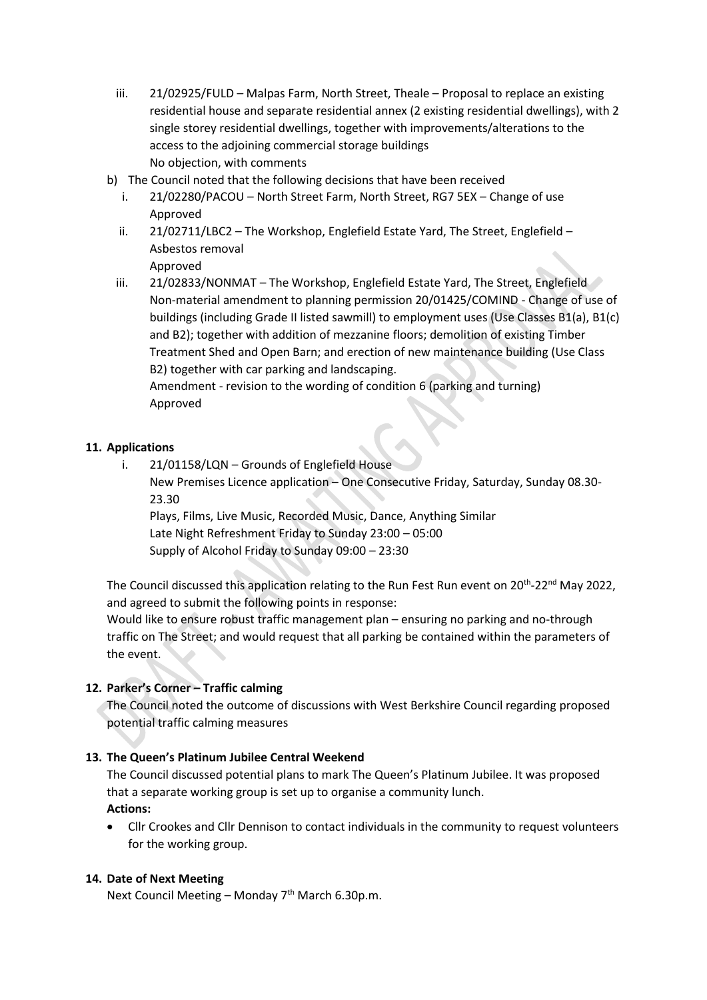- iii. 21/02925/FULD Malpas Farm, North Street, Theale Proposal to replace an existing residential house and separate residential annex (2 existing residential dwellings), with 2 single storey residential dwellings, together with improvements/alterations to the access to the adjoining commercial storage buildings No objection, with comments
- b) The Council noted that the following decisions that have been received
	- i. 21/02280/PACOU North Street Farm, North Street, RG7 5EX Change of use Approved
	- ii. 21/02711/LBC2 The Workshop, Englefield Estate Yard, The Street, Englefield Asbestos removal Approved
	- iii. 21/02833/NONMAT The Workshop, Englefield Estate Yard, The Street, Englefield Non-material amendment to planning permission 20/01425/COMIND - Change of use of buildings (including Grade II listed sawmill) to employment uses (Use Classes B1(a), B1(c) and B2); together with addition of mezzanine floors; demolition of existing Timber Treatment Shed and Open Barn; and erection of new maintenance building (Use Class B2) together with car parking and landscaping. Amendment - revision to the wording of condition 6 (parking and turning)

Approved

# **11. Applications**

i. 21/01158/LQN – Grounds of Englefield House New Premises Licence application – One Consecutive Friday, Saturday, Sunday 08.30- 23.30 Plays, Films, Live Music, Recorded Music, Dance, Anything Similar Late Night Refreshment Friday to Sunday 23:00 – 05:00

Supply of Alcohol Friday to Sunday 09:00 – 23:30

The Council discussed this application relating to the Run Fest Run event on 20<sup>th</sup>-22<sup>nd</sup> May 2022, and agreed to submit the following points in response:

Would like to ensure robust traffic management plan – ensuring no parking and no-through traffic on The Street; and would request that all parking be contained within the parameters of the event.

# **12. Parker's Corner – Traffic calming**

The Council noted the outcome of discussions with West Berkshire Council regarding proposed potential traffic calming measures

# **13. The Queen's Platinum Jubilee Central Weekend**

The Council discussed potential plans to mark The Queen's Platinum Jubilee. It was proposed that a separate working group is set up to organise a community lunch. **Actions:**

 Cllr Crookes and Cllr Dennison to contact individuals in the community to request volunteers for the working group.

## **14. Date of Next Meeting**

Next Council Meeting – Monday  $7<sup>th</sup>$  March 6.30p.m.